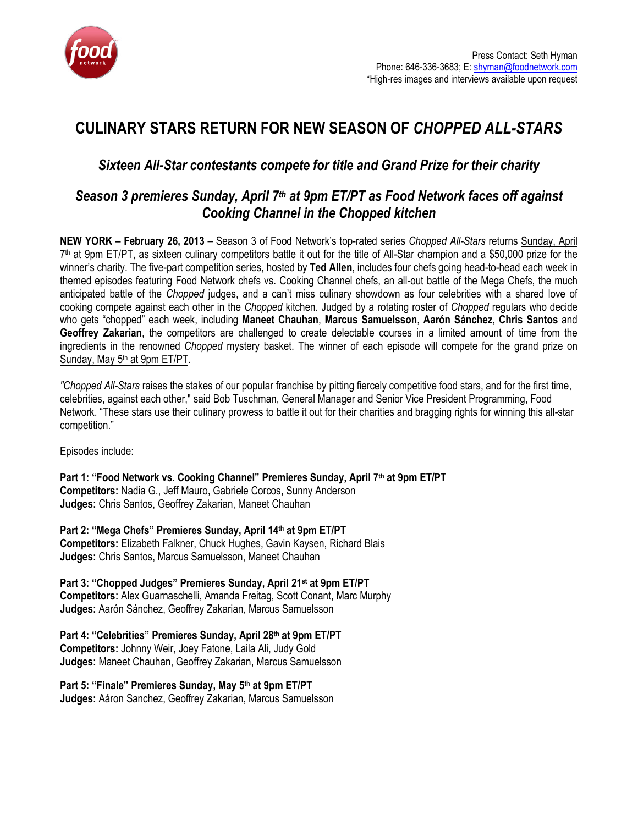

# CULINARY STARS RETURN FOR NEW SEASON OF CHOPPED ALL-STARS

## Sixteen All-Star contestants compete for title and Grand Prize for their charity

### Season 3 premieres Sunday, April 7<sup>th</sup> at 9pm ET/PT as Food Network faces off against Cooking Channel in the Chopped kitchen

NEW YORK – February 26, 2013 – Season 3 of Food Network's top-rated series Chopped All-Stars returns Sunday, April 7<sup>th</sup> at 9pm ET/PT, as sixteen culinary competitors battle it out for the title of All-Star champion and a \$50,000 prize for the winner's charity. The five-part competition series, hosted by Ted Allen, includes four chefs going head-to-head each week in themed episodes featuring Food Network chefs vs. Cooking Channel chefs, an all-out battle of the Mega Chefs, the much anticipated battle of the Chopped judges, and a can't miss culinary showdown as four celebrities with a shared love of cooking compete against each other in the Chopped kitchen. Judged by a rotating roster of Chopped regulars who decide who gets "chopped" each week, including Maneet Chauhan, Marcus Samuelsson, Aarón Sánchez, Chris Santos and Geoffrey Zakarian, the competitors are challenged to create delectable courses in a limited amount of time from the ingredients in the renowned Chopped mystery basket. The winner of each episode will compete for the grand prize on Sunday, May 5<sup>th</sup> at 9pm ET/PT.

"Chopped All-Stars raises the stakes of our popular franchise by pitting fiercely competitive food stars, and for the first time, celebrities, against each other," said Bob Tuschman, General Manager and Senior Vice President Programming, Food Network. "These stars use their culinary prowess to battle it out for their charities and bragging rights for winning this all-star competition."

Episodes include:

Part 1: "Food Network vs. Cooking Channel" Premieres Sunday, April 7th at 9pm ET/PT Competitors: Nadia G., Jeff Mauro, Gabriele Corcos, Sunny Anderson Judges: Chris Santos, Geoffrey Zakarian, Maneet Chauhan

Part 2: "Mega Chefs" Premieres Sunday, April 14th at 9pm ET/PT Competitors: Elizabeth Falkner, Chuck Hughes, Gavin Kaysen, Richard Blais Judges: Chris Santos, Marcus Samuelsson, Maneet Chauhan

Part 3: "Chopped Judges" Premieres Sunday, April 21st at 9pm ET/PT Competitors: Alex Guarnaschelli, Amanda Freitag, Scott Conant, Marc Murphy Judges: Aarón Sánchez, Geoffrey Zakarian, Marcus Samuelsson

Part 4: "Celebrities" Premieres Sunday, April 28th at 9pm ET/PT Competitors: Johnny Weir, Joey Fatone, Laila Ali, Judy Gold Judges: Maneet Chauhan, Geoffrey Zakarian, Marcus Samuelsson

Part 5: "Finale" Premieres Sunday, May 5th at 9pm ET/PT Judges: Aáron Sanchez, Geoffrey Zakarian, Marcus Samuelsson